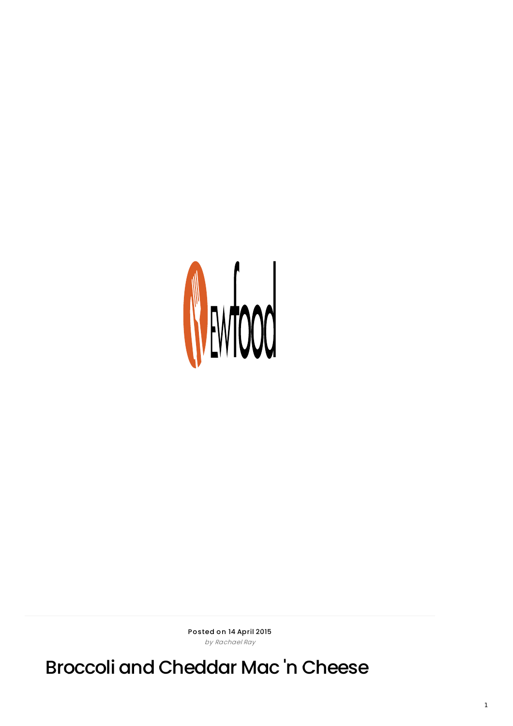

Posted on 14 April 2015 by Rachael Ray

Broccoli and Cheddar Mac 'n Cheese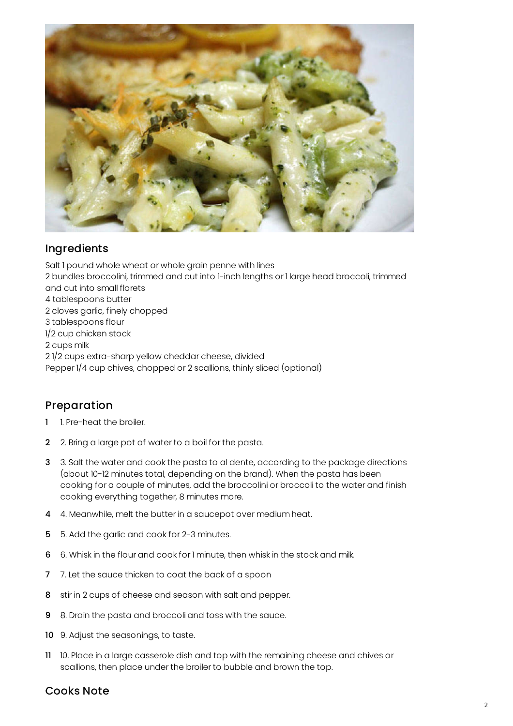

## Ingredients

Salt 1 pound whole wheat or whole grain penne with lines 2 bundles broccolini, trimmed and cut into 1-inch lengths or 1 large head broccoli, trimmed and cut into small florets 4 tablespoons butter 2 cloves garlic, finely chopped 3 tablespoons flour 1/2 cup chicken stock 2 cups milk 2 1/2 cups extra-sharp yellow cheddar cheese, divided Pepper 1/4 cup chives, chopped or 2 scallions, thinly sliced (optional)

## Preparation

- 1 1. Pre-heat the broiler.
- 2 2. Bring a large pot of water to a boil for the pasta.
- 3 3. Salt the water and cook the pasta to al dente, according to the package directions (about 10-12 minutes total, depending on the brand). When the pasta has been cooking for a couple of minutes, add the broccolini or broccoli to the water and finish cooking everything together, 8 minutes more.
- 4 4. Meanwhile, melt the butter in a saucepot over medium heat.
- 5 5. Add the garlic and cook for 2-3 minutes.
- 6 6. Whisk in the flour and cook for 1 minute, then whisk in the stock and milk.
- 7 7. Let the sauce thicken to coat the back of a spoon
- 8 stir in 2 cups of cheese and season with salt and pepper.
- 9 8. Drain the pasta and broccoli and toss with the sauce.
- 10 9. Adjust the seasonings, to taste.
- 11 10. Place in a large casserole dish and top with the remaining cheese and chives or scallions, then place under the broiler to bubble and brown the top.

## Cooks Note